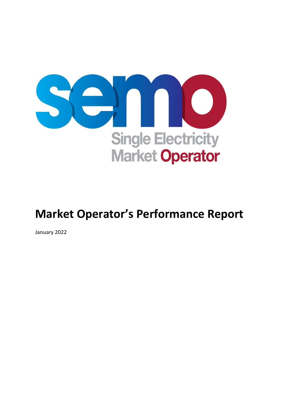

# **Market Operator's Performance Report**

January 2022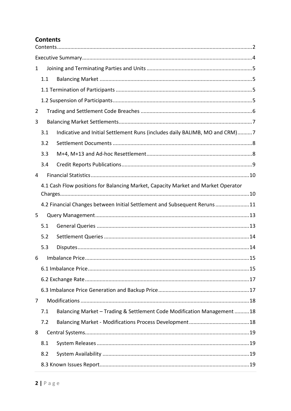### <span id="page-1-0"></span>**Contents**

| 1 |     |                                                                                   |  |  |  |
|---|-----|-----------------------------------------------------------------------------------|--|--|--|
|   | 1.1 |                                                                                   |  |  |  |
|   |     |                                                                                   |  |  |  |
|   |     |                                                                                   |  |  |  |
| 2 |     |                                                                                   |  |  |  |
| 3 |     |                                                                                   |  |  |  |
|   | 3.1 | Indicative and Initial Settlement Runs (includes daily BALIMB, MO and CRM)7       |  |  |  |
|   | 3.2 |                                                                                   |  |  |  |
|   | 3.3 |                                                                                   |  |  |  |
|   | 3.4 |                                                                                   |  |  |  |
| 4 |     |                                                                                   |  |  |  |
|   |     | 4.1 Cash Flow positions for Balancing Market, Capacity Market and Market Operator |  |  |  |
|   |     |                                                                                   |  |  |  |
|   |     | 4.2 Financial Changes between Initial Settlement and Subsequent Reruns11          |  |  |  |
| 5 |     |                                                                                   |  |  |  |
|   | 5.1 |                                                                                   |  |  |  |
|   | 5.2 |                                                                                   |  |  |  |
|   | 5.3 |                                                                                   |  |  |  |
| 6 |     |                                                                                   |  |  |  |
|   |     |                                                                                   |  |  |  |
|   |     |                                                                                   |  |  |  |
|   |     |                                                                                   |  |  |  |
| 7 |     |                                                                                   |  |  |  |
|   | 7.1 | Balancing Market - Trading & Settlement Code Modification Management 18           |  |  |  |
|   | 7.2 |                                                                                   |  |  |  |
| 8 |     |                                                                                   |  |  |  |
|   | 8.1 |                                                                                   |  |  |  |
|   | 8.2 |                                                                                   |  |  |  |
|   |     |                                                                                   |  |  |  |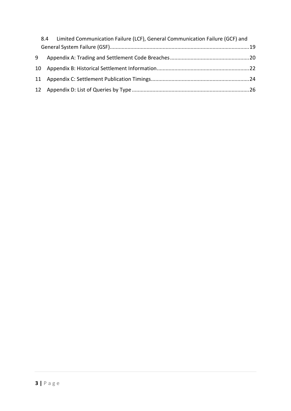|   | 8.4 Limited Communication Failure (LCF), General Communication Failure (GCF) and |  |
|---|----------------------------------------------------------------------------------|--|
|   |                                                                                  |  |
| 9 |                                                                                  |  |
|   |                                                                                  |  |
|   |                                                                                  |  |
|   |                                                                                  |  |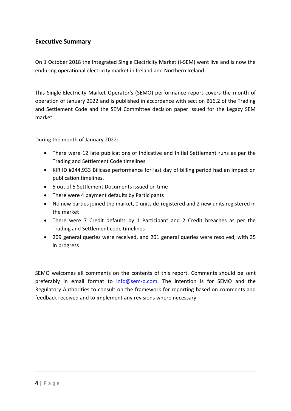### <span id="page-3-0"></span>**Executive Summary**

On 1 October 2018 the Integrated Single Electricity Market (I-SEM) went live and is now the enduring operational electricity market in Ireland and Northern Ireland.

This Single Electricity Market Operator's (SEMO) performance report covers the month of operation of January 2022 and is published in accordance with section B16.2 of the Trading and Settlement Code and the SEM Committee decision paper issued for the Legacy SEM market.

During the month of January 2022:

- There were 12 late publications of Indicative and Initial Settlement runs as per the Trading and Settlement Code timelines
- KIR ID #244,933 Billcase performance for last day of billing period had an impact on publication timelines.
- 5 out of 5 Settlement Documents issued on time
- There were 4 payment defaults by Participants
- No new parties joined the market, 0 units de-registered and 2 new units registered in the market
- There were 7 Credit defaults by 1 Participant and 2 Credit breaches as per the Trading and Settlement code timelines
- 209 general queries were received, and 201 general queries were resolved, with 35 in progress

SEMO welcomes all comments on the contents of this report. Comments should be sent preferably in email format to [info@sem-o.com.](mailto:info@sem-o.com) The intention is for SEMO and the Regulatory Authorities to consult on the framework for reporting based on comments and feedback received and to implement any revisions where necessary.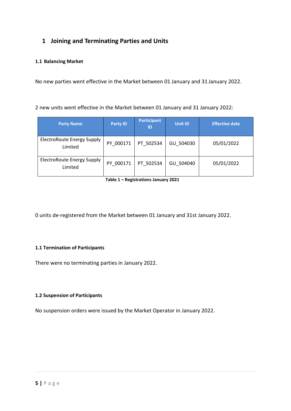### <span id="page-4-0"></span>**1 Joining and Terminating Parties and Units**

#### <span id="page-4-1"></span>**1.1 Balancing Market**

No new parties went effective in the Market between 01 January and 31 January 2022.

2 new units went effective in the Market between 01 January and 31 January 2022:

| <b>Party Name</b>                            | <b>Party ID</b> | <b>Participant</b><br>ID | <b>Unit ID</b> | <b>Effective date</b> |
|----------------------------------------------|-----------------|--------------------------|----------------|-----------------------|
| ElectroRoute Energy Supply<br>Limited        | PY 000171       | PT 502534                | GU 504030      | 05/01/2022            |
| <b>ElectroRoute Energy Supply</b><br>Limited | PY 000171       | PT 502534                | GU 504040      | 05/01/2022            |

**Table 1 – Registrations January 2021**

0 units de-registered from the Market between 01 January and 31st January 2022.

#### <span id="page-4-2"></span>**1.1 Termination of Participants**

There were no terminating parties in January 2022.

#### <span id="page-4-3"></span>**1.2 Suspension of Participants**

No suspension orders were issued by the Market Operator in January 2022.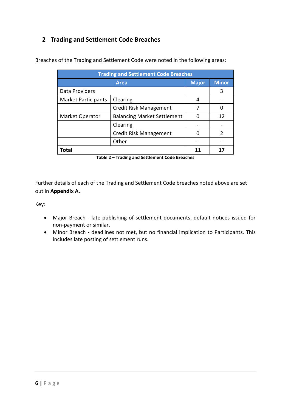### <span id="page-5-0"></span>**2 Trading and Settlement Code Breaches**

| <b>Trading and Settlement Code Breaches</b> |                                    |              |              |  |  |
|---------------------------------------------|------------------------------------|--------------|--------------|--|--|
|                                             | <b>Area</b>                        | <b>Major</b> | <b>Minor</b> |  |  |
| Data Providers                              |                                    |              |              |  |  |
| <b>Market Participants</b>                  | Clearing                           | 4            |              |  |  |
|                                             | <b>Credit Risk Management</b>      |              |              |  |  |
| Market Operator                             | <b>Balancing Market Settlement</b> |              | 12           |  |  |
|                                             | Clearing                           |              |              |  |  |
|                                             | <b>Credit Risk Management</b>      |              | 2            |  |  |
|                                             |                                    |              |              |  |  |
| Total                                       | 11                                 | 17           |              |  |  |

Breaches of the Trading and Settlement Code were noted in the following areas:

**Table 2 – Trading and Settlement Code Breaches**

Further details of each of the Trading and Settlement Code breaches noted above are set out in **Appendix A.**

Key:

- Major Breach late publishing of settlement documents, default notices issued for non-payment or similar.
- Minor Breach deadlines not met, but no financial implication to Participants. This includes late posting of settlement runs.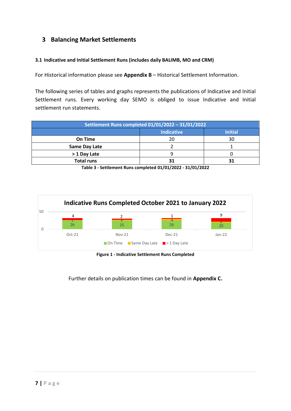### <span id="page-6-0"></span>**3 Balancing Market Settlements**

#### <span id="page-6-1"></span>**3.1 Indicative and Initial Settlement Runs (includes daily BALIMB, MO and CRM)**

For Historical information please see **Appendix B** – Historical Settlement Information.

The following series of tables and graphs represents the publications of Indicative and Initial Settlement runs. Every working day SEMO is obliged to issue Indicative and Initial settlement run statements.

| Settlement Runs completed 01/01/2022 - 31/01/2022 |    |    |  |  |
|---------------------------------------------------|----|----|--|--|
| <b>Indicative</b><br><b>Initial</b>               |    |    |  |  |
| On Time                                           | 20 | 30 |  |  |
| Same Day Late                                     |    |    |  |  |
| > 1 Day Late                                      |    |    |  |  |
| <b>Total runs</b>                                 |    |    |  |  |

**Table 3 - Settlement Runs completed 01/01/2022 - 31/01/2022**



**Figure 1 - Indicative Settlement Runs Completed**

Further details on publication times can be found in **Appendix C.**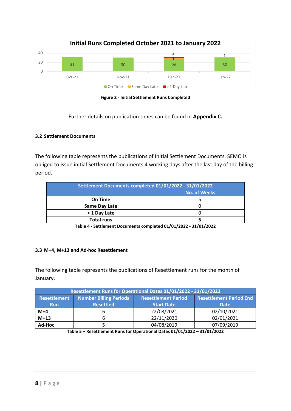

**Figure 2 - Initial Settlement Runs Completed**

Further details on publication times can be found in **Appendix C.**

#### <span id="page-7-0"></span>**3.2 Settlement Documents**

The following table represents the publications of Initial Settlement Documents. SEMO is obliged to issue initial Settlement Documents 4 working days after the last day of the billing period.

| Settlement Documents completed 01/01/2022 - 31/01/2022 |  |  |  |  |
|--------------------------------------------------------|--|--|--|--|
| <b>No. of Weeks</b>                                    |  |  |  |  |
| On Time                                                |  |  |  |  |
| <b>Same Day Late</b>                                   |  |  |  |  |
| > 1 Day Late                                           |  |  |  |  |
| <b>Total runs</b>                                      |  |  |  |  |

**Table 4 - Settlement Documents completed 01/01/2022 - 31/01/2022**

#### <span id="page-7-1"></span>**3.3 M+4, M+13 and Ad-hoc Resettlement**

The following table represents the publications of Resettlement runs for the month of January.

| Resettlement Runs for Operational Dates 01/01/2022 - 31/01/2022 |                                |                   |             |  |  |
|-----------------------------------------------------------------|--------------------------------|-------------------|-------------|--|--|
| <b>Resettlement</b>                                             | <b>Resettlement Period End</b> |                   |             |  |  |
| <b>Run</b>                                                      | <b>Resettled</b>               | <b>Start Date</b> | <b>Date</b> |  |  |
| $M+4$                                                           |                                | 22/08/2021        | 02/10/2021  |  |  |
| $M+13$                                                          |                                | 22/11/2020        | 02/01/2021  |  |  |
| Ad-Hoc                                                          |                                | 04/08/2019        | 07/09/2019  |  |  |

**Table 5 – Resettlement Runs for Operational Dates 01/01/2022 – 31/01/2022**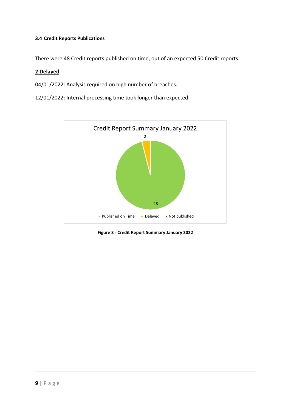#### <span id="page-8-0"></span>**3.4 Credit Reports Publications**

There were 48 Credit reports published on time, out of an expected 50 Credit reports.

#### **2 Delayed**

04/01/2022: Analysis required on high number of breaches.

12/01/2022: Internal processing time took longer than expected.



**Figure 3 - Credit Report Summary January 2022**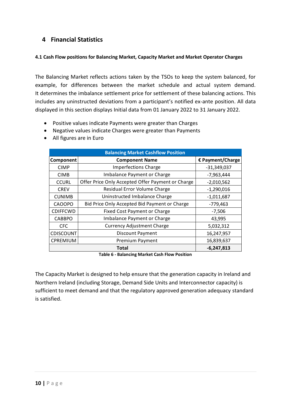### <span id="page-9-0"></span>**4 Financial Statistics**

#### <span id="page-9-1"></span>**4.1 Cash Flow positions for Balancing Market, Capacity Market and Market Operator Charges**

The Balancing Market reflects actions taken by the TSOs to keep the system balanced, for example, for differences between the market schedule and actual system demand. It determines the imbalance settlement price for settlement of these balancing actions. This includes any uninstructed deviations from a participant's notified ex-ante position. All data displayed in this section displays Initial data from 01 January 2022 to 31 January 2022.

- Positive values indicate Payments were greater than Charges
- Negative values indicate Charges were greater than Payments
- All figures are in Euro

| <b>Balancing Market Cashflow Position</b> |                                                   |                  |  |  |  |  |
|-------------------------------------------|---------------------------------------------------|------------------|--|--|--|--|
| <b>Component</b>                          | <b>Component Name</b>                             | € Payment/Charge |  |  |  |  |
| <b>CIMP</b>                               | <b>Imperfections Charge</b>                       | $-31,349,037$    |  |  |  |  |
| <b>CIMB</b>                               | Imbalance Payment or Charge                       | $-7,963,444$     |  |  |  |  |
| <b>CCURL</b>                              | Offer Price Only Accepted Offer Payment or Charge | $-2,010,562$     |  |  |  |  |
| <b>CREV</b>                               | Residual Error Volume Charge                      | $-1,290,016$     |  |  |  |  |
| <b>CUNIMB</b>                             | Uninstructed Imbalance Charge                     | $-1,011,687$     |  |  |  |  |
| <b>CAOOPO</b>                             | Bid Price Only Accepted Bid Payment or Charge     | $-779,463$       |  |  |  |  |
| <b>CDIFFCWD</b>                           | <b>Fixed Cost Payment or Charge</b>               | $-7,506$         |  |  |  |  |
| <b>CABBPO</b>                             | Imbalance Payment or Charge                       | 43,995           |  |  |  |  |
| <b>CFC</b>                                | <b>Currency Adjustment Charge</b>                 | 5,032,312        |  |  |  |  |
| CDISCOUNT                                 | <b>Discount Payment</b>                           | 16,247,957       |  |  |  |  |
| CPREMIUM<br>Premium Payment               |                                                   | 16,839,637       |  |  |  |  |
|                                           | $-6,247,813$<br><b>Total</b>                      |                  |  |  |  |  |

**Table 6 - Balancing Market Cash Flow Position**

The Capacity Market is designed to help ensure that the generation capacity in Ireland and Northern Ireland (including Storage, Demand Side Units and Interconnector capacity) is sufficient to meet demand and that the regulatory approved generation adequacy standard is satisfied.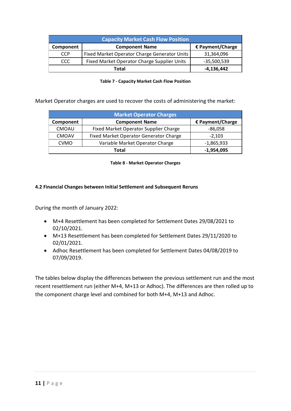|            | <b>Capacity Market Cash Flow Position</b>    |                  |  |  |  |  |
|------------|----------------------------------------------|------------------|--|--|--|--|
| Component  | <b>Component Name</b>                        | € Payment/Charge |  |  |  |  |
| <b>CCP</b> | Fixed Market Operator Charge Generator Units |                  |  |  |  |  |
| CCC        | Fixed Market Operator Charge Supplier Units  |                  |  |  |  |  |
|            | -4,136,442                                   |                  |  |  |  |  |

|  |  | <b>Table 7 - Capacity Market Cash Flow Position</b> |  |  |  |  |
|--|--|-----------------------------------------------------|--|--|--|--|
|--|--|-----------------------------------------------------|--|--|--|--|

Market Operator charges are used to recover the costs of administering the market:

| <b>Market Operator Charges</b> |                                        |              |  |  |  |
|--------------------------------|----------------------------------------|--------------|--|--|--|
| Component                      | € Payment/Charge                       |              |  |  |  |
| <b>CMOAU</b>                   | Fixed Market Operator Supplier Charge  | $-86,058$    |  |  |  |
| <b>CMOAV</b>                   | Fixed Market Operator Generator Charge | $-2,103$     |  |  |  |
| <b>CVMO</b>                    | Variable Market Operator Charge        | $-1,865,933$ |  |  |  |
| $-1,954,095$<br>Total          |                                        |              |  |  |  |

**Table 8 - Market Operator Charges**

#### <span id="page-10-0"></span>**4.2 Financial Changes between Initial Settlement and Subsequent Reruns**

During the month of January 2022:

- M+4 Resettlement has been completed for Settlement Dates 29/08/2021 to 02/10/2021.
- M+13 Resettlement has been completed for Settlement Dates 29/11/2020 to 02/01/2021.
- Adhoc Resettlement has been completed for Settlement Dates 04/08/2019 to 07/09/2019.

The tables below display the differences between the previous settlement run and the most recent resettlement run (either M+4, M+13 or Adhoc). The differences are then rolled up to the component charge level and combined for both M+4, M+13 and Adhoc.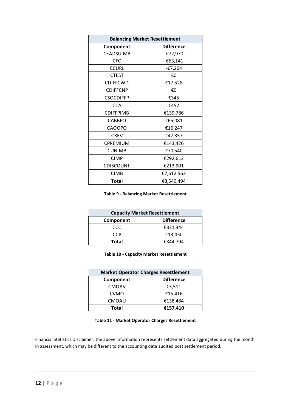| <b>Balancing Market Resettlement</b> |                   |  |  |  |
|--------------------------------------|-------------------|--|--|--|
| Component                            | <b>Difference</b> |  |  |  |
| CEADSUIMB                            | -€72,970          |  |  |  |
| <b>CFC</b>                           | $-663,141$        |  |  |  |
| <b>CCURL</b>                         | $-£7,204$         |  |  |  |
| <b>CTEST</b>                         | €0                |  |  |  |
| <b>CDIFFCWD</b>                      | €17,528           |  |  |  |
| <b>CDIFFCNP</b>                      | €0                |  |  |  |
| <b>CSOCDIFFP</b>                     | €345              |  |  |  |
| <b>CCA</b>                           | €452              |  |  |  |
| <b>CDIFFPIMB</b>                     | €139,786          |  |  |  |
| <b>CABBPO</b>                        | €65,081           |  |  |  |
| <b>CAOOPO</b>                        | €16,247           |  |  |  |
| <b>CREV</b>                          | €47,357           |  |  |  |
| CPREMIUM                             | €143,426          |  |  |  |
| <b>CUNIMB</b>                        | €70,540           |  |  |  |
| <b>CIMP</b>                          | €292,612          |  |  |  |
| <b>CDISCOUNT</b>                     | €213,901          |  |  |  |
| <b>CIMB</b>                          | €7,612,563        |  |  |  |
| Total                                | €8,549,494        |  |  |  |

**Table 9 - Balancing Market Resettlement**

| <b>Capacity Market Resettlement</b> |          |  |  |  |
|-------------------------------------|----------|--|--|--|
| <b>Difference</b><br>Component      |          |  |  |  |
| ccc                                 | €331,344 |  |  |  |
| CCP                                 | €13,450  |  |  |  |
| Total                               | €344.794 |  |  |  |

**Table 10 - Capacity Market Resettlement**

| <b>Market Operator Charges Resettlement</b> |          |  |  |  |
|---------------------------------------------|----------|--|--|--|
| <b>Difference</b><br>Component              |          |  |  |  |
| <b>CMOAV</b>                                | €3,511   |  |  |  |
| <b>CVMO</b>                                 | €15,416  |  |  |  |
| <b>CMOAU</b>                                | €138,484 |  |  |  |
| €157,410<br>Total                           |          |  |  |  |

#### **Table 11 - Market Operator Charges Resettlement**

Financial Statistics Disclaimer: the above information represents settlement data aggregated during the month in assessment, which may be different to the accounting data audited post settlement period.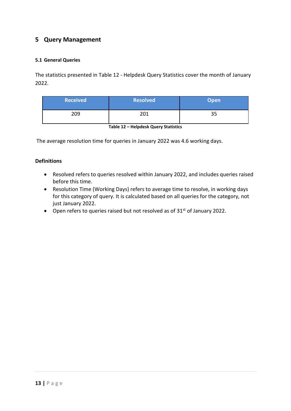### <span id="page-12-0"></span>**5 Query Management**

#### <span id="page-12-1"></span>**5.1 General Queries**

The statistics presented in Table 12 - Helpdesk Query Statistics cover the month of January 2022.

| <b>Received</b> | <b>Resolved</b> | <b>Open</b> |
|-----------------|-----------------|-------------|
| 209             | 201             | っこ<br>၁၁    |

The average resolution time for queries in January 2022 was 4.6 working days.

#### **Definitions**

- Resolved refers to queries resolved within January 2022, and includes queries raised before this time.
- Resolution Time (Working Days) refers to average time to resolve, in working days for this category of query. It is calculated based on all queries for the category, not just January 2022.
- Open refers to queries raised but not resolved as of  $31<sup>st</sup>$  of January 2022.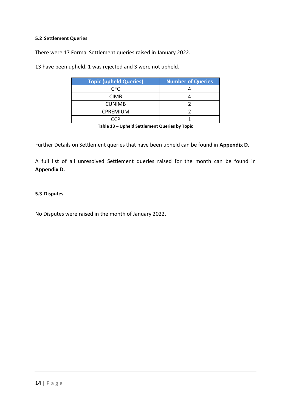#### <span id="page-13-0"></span>**5.2 Settlement Queries**

There were 17 Formal Settlement queries raised in January 2022.

13 have been upheld, 1 was rejected and 3 were not upheld.

| <b>Topic (upheld Queries)</b> | <b>Number of Queries</b> |
|-------------------------------|--------------------------|
| CFC.                          |                          |
| <b>CIMB</b>                   |                          |
| <b>CUNIMB</b>                 |                          |
| <b>CPREMIUM</b>               |                          |
|                               |                          |

**Table 13 – Upheld Settlement Queries by Topic**

Further Details on Settlement queries that have been upheld can be found in **Appendix D.**

A full list of all unresolved Settlement queries raised for the month can be found in **Appendix D.**

#### <span id="page-13-1"></span>**5.3 Disputes**

No Disputes were raised in the month of January 2022.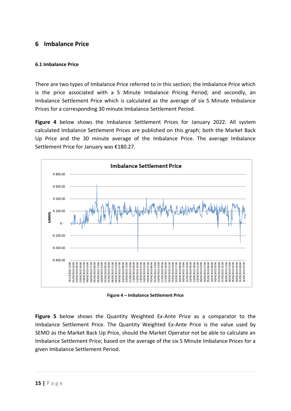### <span id="page-14-0"></span>**6 Imbalance Price**

#### <span id="page-14-1"></span>**6.1 Imbalance Price**

There are two types of Imbalance Price referred to in this section; the Imbalance Price which is the price associated with a 5 Minute Imbalance Pricing Period; and secondly, an Imbalance Settlement Price which is calculated as the average of six 5 Minute Imbalance Prices for a corresponding 30 minute Imbalance Settlement Period.

**Figure 4** below shows the Imbalance Settlement Prices for January 2022. All system calculated Imbalance Settlement Prices are published on this graph; both the Market Back Up Price and the 30 minute average of the Imbalance Price. The average Imbalance Settlement Price for January was €180.27.



**Figure 4 – Imbalance Settlement Price**

**Figure 5** below shows the Quantity Weighted Ex-Ante Price as a comparator to the Imbalance Settlement Price. The Quantity Weighted Ex-Ante Price is the value used by SEMO as the Market Back Up Price, should the Market Operator not be able to calculate an Imbalance Settlement Price; based on the average of the six 5 Minute Imbalance Prices for a given Imbalance Settlement Period.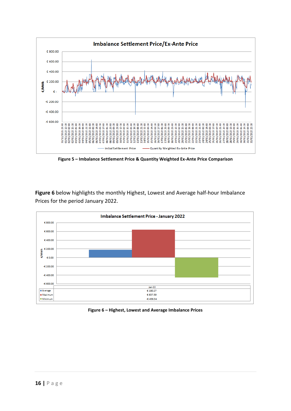

**Figure 5 – Imbalance Settlement Price & Quantity Weighted Ex-Ante Price Comparison**

**Figure 6** below highlights the monthly Highest, Lowest and Average half-hour Imbalance Prices for the period January 2022.



**Figure 6 – Highest, Lowest and Average Imbalance Prices**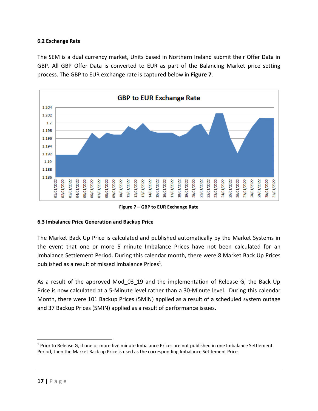#### **6.2 Exchange Rate**

<span id="page-16-0"></span>The SEM is a dual currency market, Units based in Northern Ireland submit their Offer Data in GBP. All GBP Offer Data is converted to EUR as part of the Balancing Market price setting process. The GBP to EUR exchange rate is captured below in **Figure 7**.



**Figure 7 – GBP to EUR Exchange Rate**

#### **6.3 Imbalance Price Generation and Backup Price**

<span id="page-16-1"></span>The Market Back Up Price is calculated and published automatically by the Market Systems in the event that one or more 5 minute Imbalance Prices have not been calculated for an Imbalance Settlement Period. During this calendar month, there were 8 Market Back Up Prices published as a result of missed Imbalance Prices<sup>1</sup>.

As a result of the approved Mod 03 19 and the implementation of Release G, the Back Up Price is now calculated at a 5-Minute level rather than a 30-Minute level. During this calendar Month, there were 101 Backup Prices (5MIN) applied as a result of a scheduled system outage and 37 Backup Prices (5MIN) applied as a result of performance issues.

<sup>&</sup>lt;sup>1</sup> Prior to Release G, if one or more five minute Imbalance Prices are not published in one Imbalance Settlement Period, then the Market Back up Price is used as the corresponding Imbalance Settlement Price.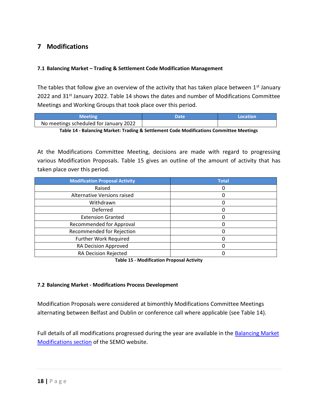### **7 Modifications**

#### <span id="page-17-0"></span>**7.1 Balancing Market – Trading & Settlement Code Modification Management**

<span id="page-17-1"></span>The tables that follow give an overview of the activity that has taken place between  $1<sup>st</sup>$  January 2022 and 31<sup>st</sup> January 2022. Table 14 shows the dates and number of Modifications Committee Meetings and Working Groups that took place over this period.

| Meeting                                | Date | Location |
|----------------------------------------|------|----------|
| No meetings scheduled for January 2022 |      |          |

**Table 14 - Balancing Market: Trading & Settlement Code Modifications Committee Meetings**

At the Modifications Committee Meeting, decisions are made with regard to progressing various Modification Proposals. Table 15 gives an outline of the amount of activity that has taken place over this period.

| <b>Modification Proposal Activity</b> | <b>Total</b> |
|---------------------------------------|--------------|
| Raised                                |              |
| Alternative Versions raised           |              |
| Withdrawn                             |              |
| Deferred                              |              |
| <b>Extension Granted</b>              | 0            |
| <b>Recommended for Approval</b>       |              |
| Recommended for Rejection             |              |
| <b>Further Work Required</b>          |              |
| RA Decision Approved                  |              |
| RA Decision Rejected                  |              |

**Table 15 - Modification Proposal Activity**

#### **7.2 Balancing Market - Modifications Process Development**

<span id="page-17-2"></span>Modification Proposals were considered at bimonthly Modifications Committee Meetings alternating between Belfast and Dublin or conference call where applicable (see Table 14).

Full details of all modifications progressed during the year are available in the Balancing Market [Modifications section](https://www.sem-o.com/rules-and-modifications/balancing-market-modifications/) of the SEMO website.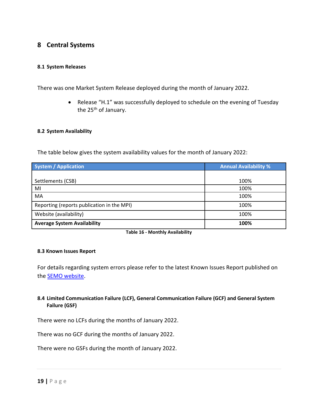### **8 Central Systems**

#### <span id="page-18-0"></span>**8.1 System Releases**

<span id="page-18-1"></span>There was one Market System Release deployed during the month of January 2022.

• Release "H.1" was successfully deployed to schedule on the evening of Tuesday the 25<sup>th</sup> of January.

#### **8.2 System Availability**

<span id="page-18-2"></span>The table below gives the system availability values for the month of January 2022:

| System / Application                       | <b>Annual Availability %</b> |
|--------------------------------------------|------------------------------|
|                                            |                              |
| Settlements (CSB)                          | 100%                         |
| MI                                         | 100%                         |
| MA                                         | 100%                         |
| Reporting (reports publication in the MPI) | 100%                         |
| Website (availability)                     | 100%                         |
| <b>Average System Availability</b>         | 100%                         |

**Table 16 - Monthly Availability**

#### **8.3 Known Issues Report**

<span id="page-18-3"></span>For details regarding system errors please refer to the latest Known Issues Report published on the [SEMO website.](https://www.sem-o.com/documents/general-publications/ISEM-Known-Issues-Report-28-January-2022.pdf)

#### **8.4 Limited Communication Failure (LCF), General Communication Failure (GCF) and General System Failure (GSF)**

<span id="page-18-4"></span>There were no LCFs during the months of January 2022.

There was no GCF during the months of January 2022.

There were no GSFs during the month of January 2022.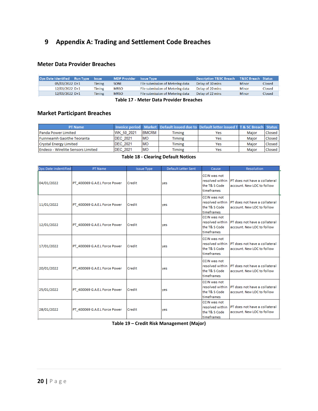### **9 Appendix A: Trading and Settlement Code Breaches**

#### <span id="page-19-0"></span>**Meter Data Provider Breaches**

| Ops Date Identified Run Type | <b>Issue</b>  | <b>MDP Provider Issue Type</b> |                                  | <b>Description T&amp;SC Breach</b> | T&SC Breach Status |               |
|------------------------------|---------------|--------------------------------|----------------------------------|------------------------------------|--------------------|---------------|
| 05/01/2022 D+1               | <b>Timing</b> | <b>SONI</b>                    | File submission of Metering data | Delay of 30 mins                   | <b>Minor</b>       | Closed        |
| 12/01/2022 D+1               | <b>Timing</b> | <b>MRSO</b>                    | File submission of Metering data | Delay of 20 mins                   | <b>Minor</b>       | <b>Closed</b> |
| 12/01/2022 D+1               | <b>Timing</b> | <b>MRSO</b>                    | File submission of Metering data | Delay of 22 mins                   | <b>Minor</b>       | Closed        |
|                              |               |                                |                                  |                                    |                    |               |

#### **Table 17 - Meter Data Provider Breaches**

#### **Market Participant Breaches**

| <b>PT Name</b>                           |                  |              |        | <b>Invoice period</b> Market Default issued due to Default letter issued T T & SC Breach Status |       |        |
|------------------------------------------|------------------|--------------|--------|-------------------------------------------------------------------------------------------------|-------|--------|
| Panda Power Limited                      | WK 50 2021       | <b>BMCRM</b> | Timing | Yes                                                                                             | Maior | Closed |
| Fuinneamh Gaoithe Teoranta               | <b>IDEC 2021</b> | <b>MO</b>    | Timing | Yes                                                                                             | Maior | Closed |
| Crystal Energy Limited                   | <b>IDEC 2021</b> | <b>MO</b>    | Timing | Yes                                                                                             | Maior | Closed |
| <b>Endeco - Wirelite Sensors Limited</b> | <b>IDEC 2021</b> | <b>MO</b>    | Timing | Yes                                                                                             | Maior | Closed |

#### **Table 18 - Clearing Default Notices**

| Ops Date indentified | PT Name                       | <b>Issue Type</b> | Default Letter Sent | Cause                                                                 | Resolution                                                  |
|----------------------|-------------------------------|-------------------|---------------------|-----------------------------------------------------------------------|-------------------------------------------------------------|
| 04/01/2022           | PT_400069 G.A.E.L Force Power | Credit            | yes                 | <b>CCIN was not</b><br>resolved within<br>the T& S Code<br>timeframes | PT does not have a collateral<br>account. New LOC to follow |
| 11/01/2022           | PT_400069 G.A.E.L Force Power | Credit            | ves                 | CCIN was not<br>resolved within<br>the T& S Code<br>timeframes        | PT does not have a collateral<br>account. New LOC to follow |
| 12/01/2022           | PT_400069 G.A.E.L Force Power | Credit            | ves                 | <b>CCIN was not</b><br>resolved within<br>the T& S Code<br>timeframes | PT does not have a collateral<br>account. New LOC to follow |
| 17/01/2022           | PT_400069 G.A.E.L Force Power | Credit            | ves                 | <b>CCIN was not</b><br>resolved within<br>the T& S Code<br>timeframes | PT does not have a collateral<br>account. New LOC to follow |
| 20/01/2022           | PT_400069 G.A.E.L Force Power | Credit            | yes                 | <b>CCIN was not</b><br>resolved within<br>the T& S Code<br>timeframes | PT does not have a collateral<br>account. New LOC to follow |
| 25/01/2022           | PT_400069 G.A.E.L Force Power | Credit            | ves                 | <b>CCIN was not</b><br>resolved within<br>the T& S Code<br>timeframes | PT does not have a collateral<br>account. New LOC to follow |
| 28/01/2022           | PT 400069 G.A.E.L Force Power | Credit            | yes                 | CCIN was not<br>resolved within<br>the T& S Code<br>timeframes        | PT does not have a collateral<br>account. New LOC to follow |

**Table 19 – Credit Risk Management (Major)**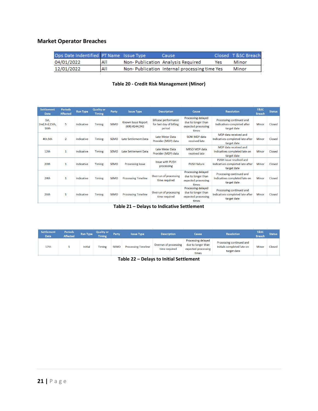### **Market Operator Breaches**

| Ops Date Indentified PT Name Issue Type |     | Cause:                                       |     | Closed T&SC Breach |
|-----------------------------------------|-----|----------------------------------------------|-----|--------------------|
| 04/01/2022                              | All | Non-Publication Analysis Required            | Yes | Minor              |
| 12/01/2022                              | All | Non-Publication Internal processing time Yes |     | Minor              |
|                                         |     |                                              |     |                    |

#### **Table 20 - Credit Risk Management (Minor)**

| <b>Settlement</b><br><b>Date</b> | <b>Periods</b><br><b>Affected</b> | <b>Run Type</b> | <b>Quality or</b><br><b>Timing</b> | Party       | <b>Issue Type</b>                           | <b>Description</b>                                               | Cause                                                                    | <b>Resolution</b>                                                           | T&SC<br><b>Breach</b> | <b>Status</b> |
|----------------------------------|-----------------------------------|-----------------|------------------------------------|-------------|---------------------------------------------|------------------------------------------------------------------|--------------------------------------------------------------------------|-----------------------------------------------------------------------------|-----------------------|---------------|
| 1st,<br>2nd, 3rd, 15th,<br>16th  | 5.                                | Indicative      | <b>Timing</b>                      | <b>SEMO</b> | <b>Known Issue Report</b><br>(KIR) #244,943 | <b>Billcase performance</b><br>for last day of billing<br>period | Processing delayed<br>due to longer than<br>expected processing<br>times | Processing continued and<br>Indicatives completed after<br>target date      | Minor                 | Closed        |
| 4th,5th                          | $\overline{2}$                    | Indicative      | <b>Timing</b>                      | <b>SEMO</b> | <b>Late Settlement Data</b>                 | <b>Late Meter Data</b><br>Provider (MDP) data                    | SONI MDP data<br>received late                                           | MDP data received and<br>Indicatives completed late after<br>target date    | <b>Minor</b>          | Closed        |
| 12 <sub>th</sub>                 | 1                                 | Indicative      | <b>Timing</b>                      | <b>SEMO</b> | Late Settlement Data                        | <b>Late Meter Data</b><br>Provider (MDP) data                    | MRSO MDP data<br>received late                                           | MDP data received and<br>Indicatives completed late on<br>target date       | <b>Minor</b>          | Closed        |
| 20th                             | $\mathbf{1}$                      | Indicative      | <b>Timing</b>                      | <b>SEMO</b> | <b>Processing Issue</b>                     | <b>Issue with PUSH</b><br>processing                             | <b>PUSH failure</b>                                                      | PUSH issue resolved and<br>Indicatives completed late after<br>target date  | Minor                 | Closed        |
| 24th                             | $\mathbf{1}$                      | Indicative      | <b>Timing</b>                      | <b>SEMO</b> | <b>Processing Timeline</b>                  | Overrun of processing<br>time required                           | Processing delayed<br>due to longer than<br>expected processing<br>times | Processing continued and<br>Indicatives completed late on<br>target date    | Minor                 | Closed        |
| 26th                             | $\mathbf{1}$                      | Indicative      | <b>Timing</b>                      | <b>SEMO</b> | <b>Processing Timeline</b>                  | Overrun of processing<br>time required                           | Processing delayed<br>due to longer than<br>expected processing<br>times | Processing continued and<br>Indicatives completed late after<br>target date | <b>Minor</b>          | Closed        |

| <b>Settlement</b><br><b>Date</b> | <b>Periods</b><br><b>Affected</b> | <b>Run Type</b> | <b>Quality or</b><br><b>Timing</b> | Party       | <b>Issue Type</b>          | <b>Description</b>                     | Cause                                                                           | <b>Resolution</b>                                                     | T&SC<br><b>Breach</b> | Status |
|----------------------------------|-----------------------------------|-----------------|------------------------------------|-------------|----------------------------|----------------------------------------|---------------------------------------------------------------------------------|-----------------------------------------------------------------------|-----------------------|--------|
| 17th                             |                                   | Initial         | <b>Timing</b>                      | <b>SEMO</b> | <b>Processing Timeline</b> | Overrun of processing<br>time required | <b>Processing delayed</b><br>due to longer than<br>expected processing<br>times | Processing continued and<br>Initials completed late on<br>target date | Minor                 | Closed |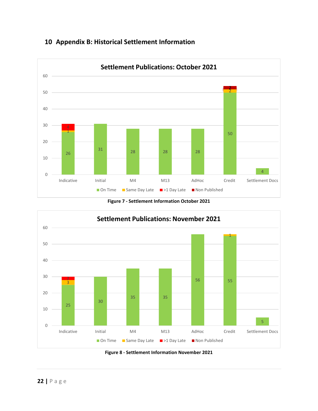<span id="page-21-0"></span>

### **Appendix B: Historical Settlement Information**





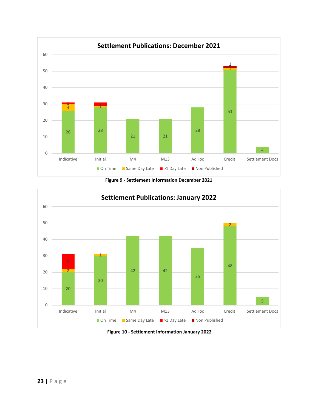

**Figure 9 - Settlement Information December 2021**



**Figure 10 - Settlement Information January 2022**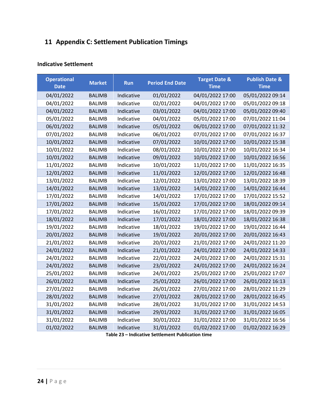### **11 Appendix C: Settlement Publication Timings**

#### <span id="page-23-0"></span>**Indicative Settlement**

| <b>Operational</b><br><b>Date</b> | <b>Market</b> | <b>Run</b> | <b>Period End Date</b> | <b>Target Date &amp;</b><br><b>Time</b> | <b>Publish Date &amp;</b><br><b>Time</b> |
|-----------------------------------|---------------|------------|------------------------|-----------------------------------------|------------------------------------------|
| 04/01/2022                        | <b>BALIMB</b> | Indicative | 01/01/2022             | 04/01/2022 17:00                        | 05/01/2022 09:14                         |
| 04/01/2022                        | <b>BALIMB</b> | Indicative | 02/01/2022             | 04/01/2022 17:00                        | 05/01/2022 09:18                         |
| 04/01/2022                        | <b>BALIMB</b> | Indicative | 03/01/2022             | 04/01/2022 17:00                        | 05/01/2022 09:40                         |
| 05/01/2022                        | <b>BALIMB</b> | Indicative | 04/01/2022             | 05/01/2022 17:00                        | 07/01/2022 11:04                         |
| 06/01/2022                        | <b>BALIMB</b> | Indicative | 05/01/2022             | 06/01/2022 17:00                        | 07/01/2022 11:32                         |
| 07/01/2022                        | <b>BALIMB</b> | Indicative | 06/01/2022             | 07/01/2022 17:00                        | 07/01/2022 16:37                         |
| 10/01/2022                        | <b>BALIMB</b> | Indicative | 07/01/2022             | 10/01/2022 17:00                        | 10/01/2022 15:38                         |
| 10/01/2022                        | <b>BALIMB</b> | Indicative | 08/01/2022             | 10/01/2022 17:00                        | 10/01/2022 16:34                         |
| 10/01/2022                        | <b>BALIMB</b> | Indicative | 09/01/2022             | 10/01/2022 17:00                        | 10/01/2022 16:56                         |
| 11/01/2022                        | <b>BALIMB</b> | Indicative | 10/01/2022             | 11/01/2022 17:00                        | 11/01/2022 16:35                         |
| 12/01/2022                        | <b>BALIMB</b> | Indicative | 11/01/2022             | 12/01/2022 17:00                        | 12/01/2022 16:48                         |
| 13/01/2022                        | <b>BALIMB</b> | Indicative | 12/01/2022             | 13/01/2022 17:00                        | 13/01/2022 18:39                         |
| 14/01/2022                        | <b>BALIMB</b> | Indicative | 13/01/2022             | 14/01/2022 17:00                        | 14/01/2022 16:44                         |
| 17/01/2022                        | <b>BALIMB</b> | Indicative | 14/01/2022             | 17/01/2022 17:00                        | 17/01/2022 15:52                         |
| 17/01/2022                        | <b>BALIMB</b> | Indicative | 15/01/2022             | 17/01/2022 17:00                        | 18/01/2022 09:14                         |
| 17/01/2022                        | <b>BALIMB</b> | Indicative | 16/01/2022             | 17/01/2022 17:00                        | 18/01/2022 09:39                         |
| 18/01/2022                        | <b>BALIMB</b> | Indicative | 17/01/2022             | 18/01/2022 17:00                        | 18/01/2022 16:38                         |
| 19/01/2022                        | <b>BALIMB</b> | Indicative | 18/01/2022             | 19/01/2022 17:00                        | 19/01/2022 16:44                         |
| 20/01/2022                        | <b>BALIMB</b> | Indicative | 19/01/2022             | 20/01/2022 17:00                        | 20/01/2022 16:43                         |
| 21/01/2022                        | <b>BALIMB</b> | Indicative | 20/01/2022             | 21/01/2022 17:00                        | 24/01/2022 11:20                         |
| 24/01/2022                        | <b>BALIMB</b> | Indicative | 21/01/2022             | 24/01/2022 17:00                        | 24/01/2022 14:33                         |
| 24/01/2022                        | <b>BALIMB</b> | Indicative | 22/01/2022             | 24/01/2022 17:00                        | 24/01/2022 15:31                         |
| 24/01/2022                        | <b>BALIMB</b> | Indicative | 23/01/2022             | 24/01/2022 17:00                        | 24/01/2022 16:24                         |
| 25/01/2022                        | <b>BALIMB</b> | Indicative | 24/01/2022             | 25/01/2022 17:00                        | 25/01/2022 17:07                         |
| 26/01/2022                        | <b>BALIMB</b> | Indicative | 25/01/2022             | 26/01/2022 17:00                        | 26/01/2022 16:13                         |
| 27/01/2022                        | <b>BALIMB</b> | Indicative | 26/01/2022             | 27/01/2022 17:00                        | 28/01/2022 11:29                         |
| 28/01/2022                        | <b>BALIMB</b> | Indicative | 27/01/2022             | 28/01/2022 17:00                        | 28/01/2022 16:45                         |
| 31/01/2022                        | <b>BALIMB</b> | Indicative | 28/01/2022             | 31/01/2022 17:00                        | 31/01/2022 14:53                         |
| 31/01/2022                        | <b>BALIMB</b> | Indicative | 29/01/2022             | 31/01/2022 17:00                        | 31/01/2022 16:05                         |
| 31/01/2022                        | <b>BALIMB</b> | Indicative | 30/01/2022             | 31/01/2022 17:00                        | 31/01/2022 16:56                         |
| 01/02/2022                        | <b>BALIMB</b> | Indicative | 31/01/2022             | 01/02/2022 17:00                        | 01/02/2022 16:29                         |

**Table 23 – Indicative Settlement Publication time**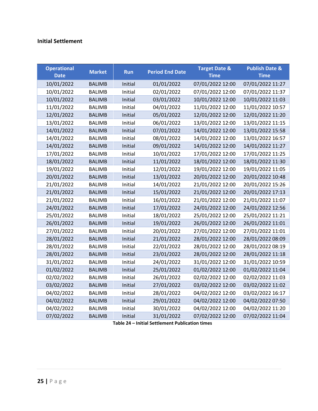### **Initial Settlement**

| <b>Operational</b><br><b>Date</b> | <b>Market</b> | <b>Run</b> | <b>Period End Date</b> | <b>Target Date &amp;</b><br><b>Time</b> | <b>Publish Date &amp;</b><br><b>Time</b> |
|-----------------------------------|---------------|------------|------------------------|-----------------------------------------|------------------------------------------|
| 10/01/2022                        | <b>BALIMB</b> | Initial    | 01/01/2022             | 07/01/2022 12:00                        | 07/01/2022 11:27                         |
| 10/01/2022                        | <b>BALIMB</b> | Initial    | 02/01/2022             | 07/01/2022 12:00                        | 07/01/2022 11:37                         |
| 10/01/2022                        | <b>BALIMB</b> | Initial    | 03/01/2022             | 10/01/2022 12:00                        | 10/01/2022 11:03                         |
| 11/01/2022                        | <b>BALIMB</b> | Initial    | 04/01/2022             | 11/01/2022 12:00                        | 11/01/2022 10:57                         |
| 12/01/2022                        | <b>BALIMB</b> | Initial    | 05/01/2022             | 12/01/2022 12:00                        | 12/01/2022 11:20                         |
| 13/01/2022                        | <b>BALIMB</b> | Initial    | 06/01/2022             | 13/01/2022 12:00                        | 13/01/2022 11:15                         |
| 14/01/2022                        | <b>BALIMB</b> | Initial    | 07/01/2022             | 14/01/2022 12:00                        | 13/01/2022 15:58                         |
| 14/01/2022                        | <b>BALIMB</b> | Initial    | 08/01/2022             | 14/01/2022 12:00                        | 13/01/2022 16:57                         |
| 14/01/2022                        | <b>BALIMB</b> | Initial    | 09/01/2022             | 14/01/2022 12:00                        | 14/01/2022 11:27                         |
| 17/01/2022                        | <b>BALIMB</b> | Initial    | 10/01/2022             | 17/01/2022 12:00                        | 17/01/2022 11:25                         |
| 18/01/2022                        | <b>BALIMB</b> | Initial    | 11/01/2022             | 18/01/2022 12:00                        | 18/01/2022 11:30                         |
| 19/01/2022                        | <b>BALIMB</b> | Initial    | 12/01/2022             | 19/01/2022 12:00                        | 19/01/2022 11:05                         |
| 20/01/2022                        | <b>BALIMB</b> | Initial    | 13/01/2022             | 20/01/2022 12:00                        | 20/01/2022 10:48                         |
| 21/01/2022                        | <b>BALIMB</b> | Initial    | 14/01/2022             | 21/01/2022 12:00                        | 20/01/2022 15:26                         |
| 21/01/2022                        | <b>BALIMB</b> | Initial    | 15/01/2022             | 21/01/2022 12:00                        | 20/01/2022 17:13                         |
| 21/01/2022                        | <b>BALIMB</b> | Initial    | 16/01/2022             | 21/01/2022 12:00                        | 21/01/2022 11:07                         |
| 24/01/2022                        | <b>BALIMB</b> | Initial    | 17/01/2022             | 24/01/2022 12:00                        | 24/01/2022 12:56                         |
| 25/01/2022                        | <b>BALIMB</b> | Initial    | 18/01/2022             | 25/01/2022 12:00                        | 25/01/2022 11:21                         |
| 26/01/2022                        | <b>BALIMB</b> | Initial    | 19/01/2022             | 26/01/2022 12:00                        | 26/01/2022 11:01                         |
| 27/01/2022                        | <b>BALIMB</b> | Initial    | 20/01/2022             | 27/01/2022 12:00                        | 27/01/2022 11:01                         |
| 28/01/2022                        | <b>BALIMB</b> | Initial    | 21/01/2022             | 28/01/2022 12:00                        | 28/01/2022 08:09                         |
| 28/01/2022                        | <b>BALIMB</b> | Initial    | 22/01/2022             | 28/01/2022 12:00                        | 28/01/2022 08:19                         |
| 28/01/2022                        | <b>BALIMB</b> | Initial    | 23/01/2022             | 28/01/2022 12:00                        | 28/01/2022 11:18                         |
| 31/01/2022                        | <b>BALIMB</b> | Initial    | 24/01/2022             | 31/01/2022 12:00                        | 31/01/2022 10:59                         |
| 01/02/2022                        | <b>BALIMB</b> | Initial    | 25/01/2022             | 01/02/2022 12:00                        | 01/02/2022 11:04                         |
| 02/02/2022                        | <b>BALIMB</b> | Initial    | 26/01/2022             | 02/02/2022 12:00                        | 02/02/2022 11:03                         |
| 03/02/2022                        | <b>BALIMB</b> | Initial    | 27/01/2022             | 03/02/2022 12:00                        | 03/02/2022 11:02                         |
| 04/02/2022                        | <b>BALIMB</b> | Initial    | 28/01/2022             | 04/02/2022 12:00                        | 03/02/2022 16:17                         |
| 04/02/2022                        | <b>BALIMB</b> | Initial    | 29/01/2022             | 04/02/2022 12:00                        | 04/02/2022 07:50                         |
| 04/02/2022                        | <b>BALIMB</b> | Initial    | 30/01/2022             | 04/02/2022 12:00                        | 04/02/2022 11:20                         |
| 07/02/2022                        | <b>BALIMB</b> | Initial    | 31/01/2022             | 07/02/2022 12:00                        | 07/02/2022 11:04                         |

**Table 24 – Initial Settlement Publication times**